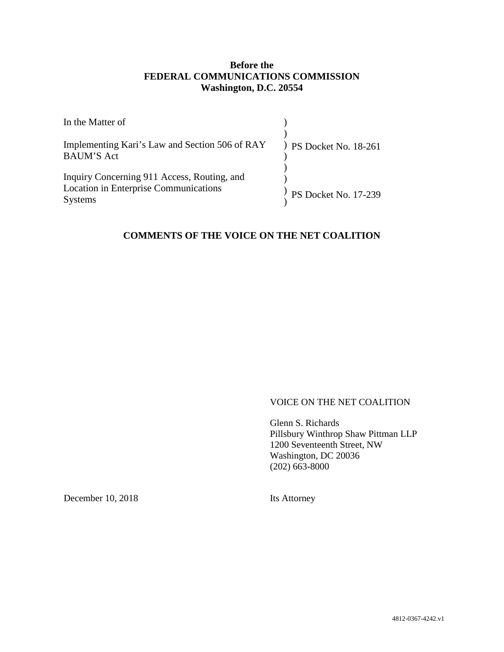## **Before the FEDERAL COMMUNICATIONS COMMISSION Washington, D.C. 20554**

| In the Matter of                                                                                              |                          |
|---------------------------------------------------------------------------------------------------------------|--------------------------|
| Implementing Kari's Law and Section 506 of RAY<br><b>BAUM'S Act</b>                                           | $)$ PS Docket No. 18-261 |
| Inquiry Concerning 911 Access, Routing, and<br><b>Location in Enterprise Communications</b><br><b>Systems</b> | PS Docket No. 17-239     |

## **COMMENTS OF THE VOICE ON THE NET COALITION**

#### VOICE ON THE NET COALITION

Glenn S. Richards Pillsbury Winthrop Shaw Pittman LLP 1200 Seventeenth Street, NW Washington, DC 20036 (202) 663-8000

December 10, 2018

Its Attorney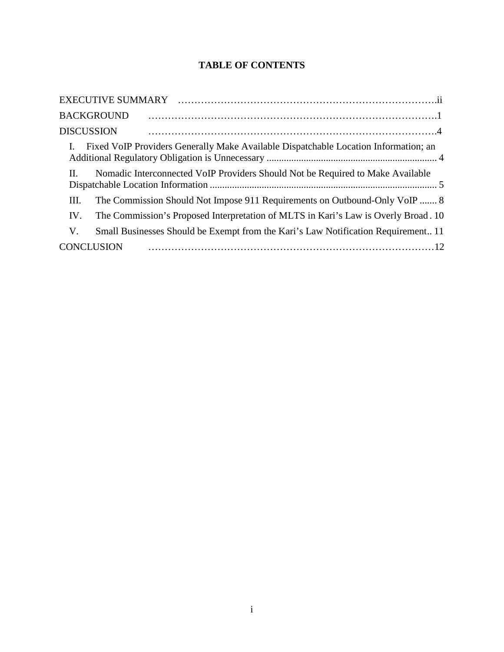# **TABLE OF CONTENTS**

| <b>BACKGROUND</b>                                                                         |
|-------------------------------------------------------------------------------------------|
| <b>DISCUSSION</b>                                                                         |
| Fixed VoIP Providers Generally Make Available Dispatchable Location Information; an       |
| Nomadic Interconnected VoIP Providers Should Not be Required to Make Available<br>$\Pi$ . |
| The Commission Should Not Impose 911 Requirements on Outbound-Only VoIP  8<br>Ш.          |
| The Commission's Proposed Interpretation of MLTS in Kari's Law is Overly Broad. 10<br>IV. |
| Small Businesses Should be Exempt from the Kari's Law Notification Requirement 11<br>V.   |
| <b>CONCLUSION</b>                                                                         |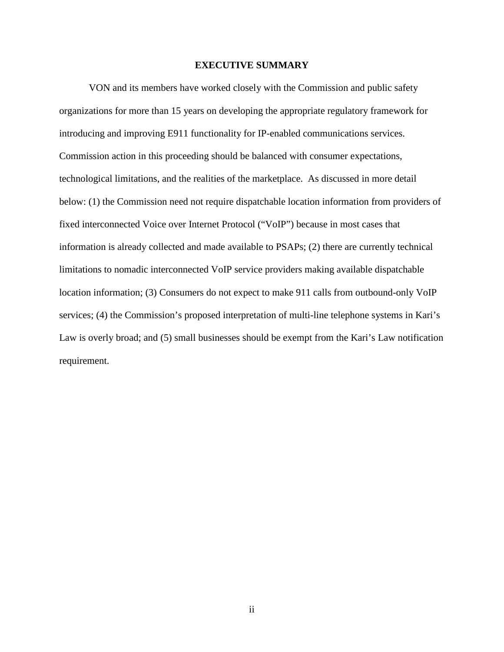#### **EXECUTIVE SUMMARY**

VON and its members have worked closely with the Commission and public safety organizations for more than 15 years on developing the appropriate regulatory framework for introducing and improving E911 functionality for IP-enabled communications services. Commission action in this proceeding should be balanced with consumer expectations, technological limitations, and the realities of the marketplace. As discussed in more detail below: (1) the Commission need not require dispatchable location information from providers of fixed interconnected Voice over Internet Protocol ("VoIP") because in most cases that information is already collected and made available to PSAPs; (2) there are currently technical limitations to nomadic interconnected VoIP service providers making available dispatchable location information; (3) Consumers do not expect to make 911 calls from outbound-only VoIP services; (4) the Commission's proposed interpretation of multi-line telephone systems in Kari's Law is overly broad; and (5) small businesses should be exempt from the Kari's Law notification requirement.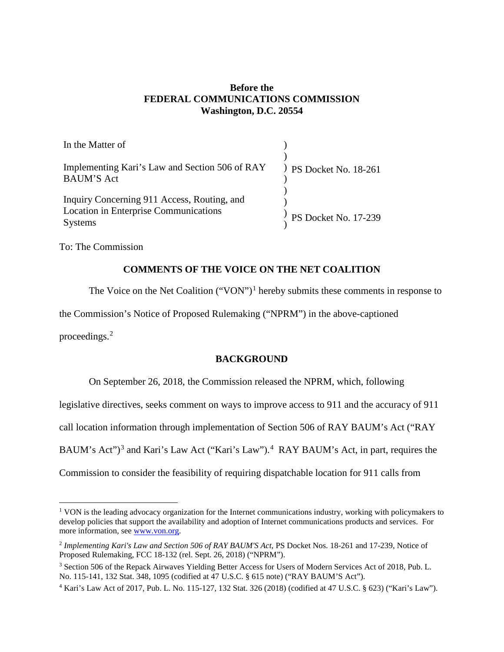### **Before the FEDERAL COMMUNICATIONS COMMISSION Washington, D.C. 20554**

| In the Matter of                                                                                       |                        |
|--------------------------------------------------------------------------------------------------------|------------------------|
| Implementing Kari's Law and Section 506 of RAY<br><b>BAUM'S Act</b>                                    | ) PS Docket No. 18-261 |
| Inquiry Concerning 911 Access, Routing, and<br>Location in Enterprise Communications<br><b>Systems</b> | PS Docket No. 17-239   |
|                                                                                                        |                        |

To: The Commission

## **COMMENTS OF THE VOICE ON THE NET COALITION**

The Voice on the Net Coalition  $("VON")^1$  hereby submits these comments in response to

the Commission's Notice of Proposed Rulemaking ("NPRM") in the above-captioned

proceedings.<sup>2</sup>

## **BACKGROUND**

On September 26, 2018, the Commission released the NPRM, which, following

legislative directives, seeks comment on ways to improve access to 911 and the accuracy of 911

call location information through implementation of Section 506 of RAY BAUM's Act ("RAY

BAUM's Act")<sup>3</sup> and Kari's Law Act ("Kari's Law").<sup>4</sup> RAY BAUM's Act, in part, requires the

Commission to consider the feasibility of requiring dispatchable location for 911 calls from

<sup>&</sup>lt;sup>1</sup> VON is the leading advocacy organization for the Internet communications industry, working with policymakers to develop policies that support the availability and adoption of Internet communications products and services. For more information, see www.von.org.

<sup>&</sup>lt;sup>2</sup> Implementing Kari's Law and Section 506 of RAY BAUM'S Act, PS Docket Nos. 18-261 and 17-239, Notice of Proposed Rulemaking, FCC 18-132 (rel. Sept. 26, 2018) ("NPRM").

<sup>&</sup>lt;sup>3</sup> Section 506 of the Repack Airwaves Yielding Better Access for Users of Modern Services Act of 2018, Pub. L. No. 115-141, 132 Stat. 348, 1095 (codified at 47 U.S.C. § 615 note) ("RAY BAUM'S Act").

<sup>4</sup> Kari's Law Act of 2017, Pub. L. No. 115-127, 132 Stat. 326 (2018) (codified at 47 U.S.C. § 623) ("Kari's Law").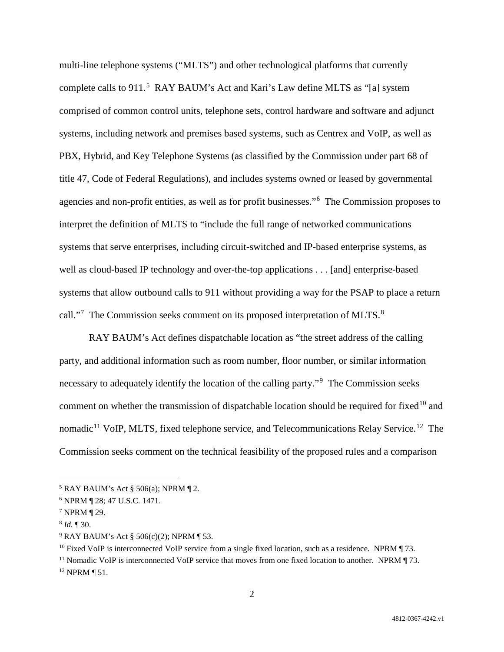multi-line telephone systems ("MLTS") and other technological platforms that currently complete calls to 911.<sup>5</sup> RAY BAUM's Act and Kari's Law define MLTS as "[a] system comprised of common control units, telephone sets, control hardware and software and adjunct systems, including network and premises based systems, such as Centrex and VoIP, as well as PBX, Hybrid, and Key Telephone Systems (as classified by the Commission under part 68 of title 47, Code of Federal Regulations), and includes systems owned or leased by governmental agencies and non-profit entities, as well as for profit businesses."<sup>6</sup> The Commission proposes to interpret the definition of MLTS to "include the full range of networked communications systems that serve enterprises, including circuit-switched and IP-based enterprise systems, as well as cloud-based IP technology and over-the-top applications . . . [and] enterprise-based systems that allow outbound calls to 911 without providing a way for the PSAP to place a return call."<sup>7</sup> The Commission seeks comment on its proposed interpretation of MLTS.<sup>8</sup>

RAY BAUM's Act defines dispatchable location as "the street address of the calling party, and additional information such as room number, floor number, or similar information necessary to adequately identify the location of the calling party."<sup>9</sup> The Commission seeks comment on whether the transmission of dispatchable location should be required for fixed<sup>10</sup> and nomadic<sup>11</sup> VoIP, MLTS, fixed telephone service, and Telecommunications Relay Service.<sup>12</sup> The Commission seeks comment on the technical feasibility of the proposed rules and a comparison

 $5$  RAY BAUM's Act § 506(a); NPRM ¶ 2.

<sup>6</sup> NPRM ¶ 28; 47 U.S.C. 1471.

<sup>7</sup> NPRM ¶ 29.

<sup>8</sup> *Id.* ¶ 30.

 $9$  RAY BAUM's Act § 506(c)(2); NPRM ¶ 53.

<sup>&</sup>lt;sup>10</sup> Fixed VoIP is interconnected VoIP service from a single fixed location, such as a residence. NPRM  $\P$  73.

<sup>&</sup>lt;sup>11</sup> Nomadic VoIP is interconnected VoIP service that moves from one fixed location to another. NPRM  $\P$  73. <sup>12</sup> NPRM ¶ 51.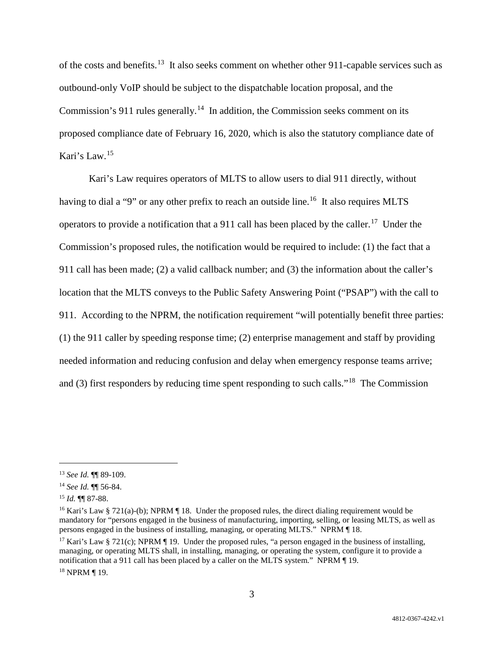of the costs and benefits.<sup>13</sup> It also seeks comment on whether other 911-capable services such as outbound-only VoIP should be subject to the dispatchable location proposal, and the Commission's 911 rules generally.<sup>14</sup> In addition, the Commission seeks comment on its proposed compliance date of February 16, 2020, which is also the statutory compliance date of Kari's Law. 15

Kari's Law requires operators of MLTS to allow users to dial 911 directly, without having to dial a "9" or any other prefix to reach an outside line.<sup>16</sup> It also requires MLTS operators to provide a notification that a 911 call has been placed by the caller.<sup>17</sup> Under the Commission's proposed rules, the notification would be required to include: (1) the fact that a 911 call has been made; (2) a valid callback number; and (3) the information about the caller's location that the MLTS conveys to the Public Safety Answering Point ("PSAP") with the call to 911. According to the NPRM, the notification requirement "will potentially benefit three parties: (1) the 911 caller by speeding response time; (2) enterprise management and staff by providing needed information and reducing confusion and delay when emergency response teams arrive; and (3) first responders by reducing time spent responding to such calls."18 The Commission

<sup>18</sup> NPRM ¶ 19.

 <sup>13</sup> *See Id.* ¶¶ 89-109.

<sup>14</sup> *See Id.* ¶¶ 56-84.

<sup>15</sup> *Id.* ¶¶ 87-88.

<sup>&</sup>lt;sup>16</sup> Kari's Law § 721(a)-(b); NPRM ¶ 18. Under the proposed rules, the direct dialing requirement would be mandatory for "persons engaged in the business of manufacturing, importing, selling, or leasing MLTS, as well as persons engaged in the business of installing, managing, or operating MLTS." NPRM ¶ 18.

<sup>&</sup>lt;sup>17</sup> Kari's Law § 721(c); NPRM  $\P$  19. Under the proposed rules, "a person engaged in the business of installing, managing, or operating MLTS shall, in installing, managing, or operating the system, configure it to provide a notification that a 911 call has been placed by a caller on the MLTS system." NPRM ¶ 19.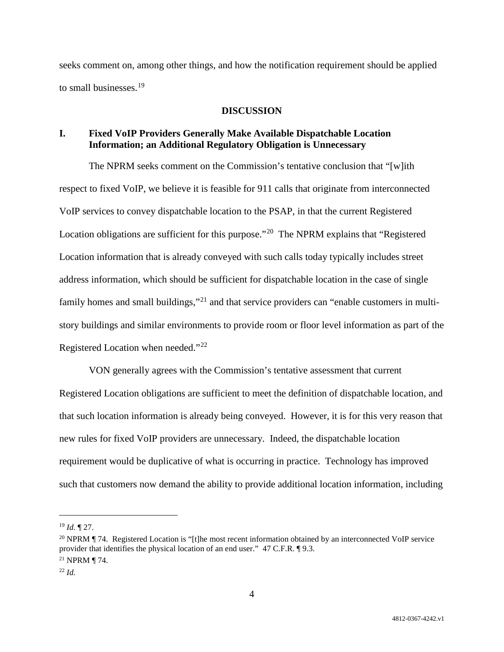seeks comment on, among other things, and how the notification requirement should be applied to small businesses.<sup>19</sup>

#### **DISCUSSION**

## **I. Fixed VoIP Providers Generally Make Available Dispatchable Location Information; an Additional Regulatory Obligation is Unnecessary**

The NPRM seeks comment on the Commission's tentative conclusion that "[w]ith respect to fixed VoIP, we believe it is feasible for 911 calls that originate from interconnected VoIP services to convey dispatchable location to the PSAP, in that the current Registered Location obligations are sufficient for this purpose."<sup>20</sup> The NPRM explains that "Registered" Location information that is already conveyed with such calls today typically includes street address information, which should be sufficient for dispatchable location in the case of single family homes and small buildings,"<sup>21</sup> and that service providers can "enable customers in multistory buildings and similar environments to provide room or floor level information as part of the Registered Location when needed."22

VON generally agrees with the Commission's tentative assessment that current Registered Location obligations are sufficient to meet the definition of dispatchable location, and that such location information is already being conveyed. However, it is for this very reason that new rules for fixed VoIP providers are unnecessary. Indeed, the dispatchable location requirement would be duplicative of what is occurring in practice. Technology has improved such that customers now demand the ability to provide additional location information, including

 <sup>19</sup> *Id.* ¶ 27.

<sup>&</sup>lt;sup>20</sup> NPRM ¶ 74. Registered Location is "[t]he most recent information obtained by an interconnected VoIP service provider that identifies the physical location of an end user." 47 C.F.R. ¶ 9.3. <sup>21</sup> NPRM ¶ 74.

<sup>22</sup> *Id.*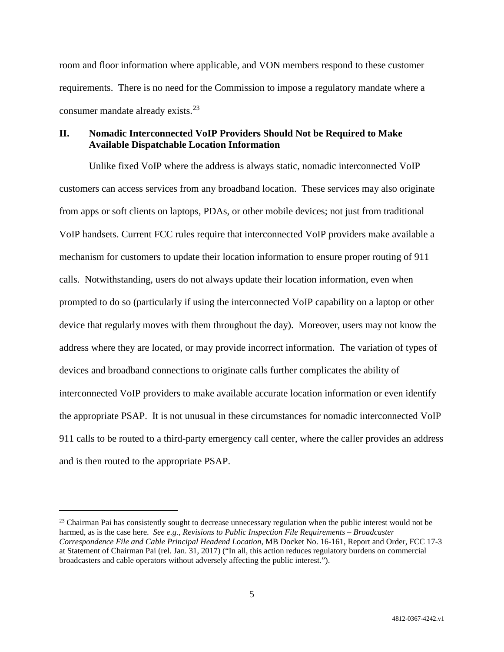room and floor information where applicable, and VON members respond to these customer requirements. There is no need for the Commission to impose a regulatory mandate where a consumer mandate already exists.<sup>23</sup>

## **II. Nomadic Interconnected VoIP Providers Should Not be Required to Make Available Dispatchable Location Information**

Unlike fixed VoIP where the address is always static, nomadic interconnected VoIP customers can access services from any broadband location. These services may also originate from apps or soft clients on laptops, PDAs, or other mobile devices; not just from traditional VoIP handsets. Current FCC rules require that interconnected VoIP providers make available a mechanism for customers to update their location information to ensure proper routing of 911 calls. Notwithstanding, users do not always update their location information, even when prompted to do so (particularly if using the interconnected VoIP capability on a laptop or other device that regularly moves with them throughout the day). Moreover, users may not know the address where they are located, or may provide incorrect information. The variation of types of devices and broadband connections to originate calls further complicates the ability of interconnected VoIP providers to make available accurate location information or even identify the appropriate PSAP. It is not unusual in these circumstances for nomadic interconnected VoIP 911 calls to be routed to a third-party emergency call center, where the caller provides an address and is then routed to the appropriate PSAP.

 $23$  Chairman Pai has consistently sought to decrease unnecessary regulation when the public interest would not be harmed, as is the case here. *See e.g., Revisions to Public Inspection File Requirements – Broadcaster Correspondence File and Cable Principal Headend Location*, MB Docket No. 16-161, Report and Order, FCC 17-3 at Statement of Chairman Pai (rel. Jan. 31, 2017) ("In all, this action reduces regulatory burdens on commercial broadcasters and cable operators without adversely affecting the public interest.").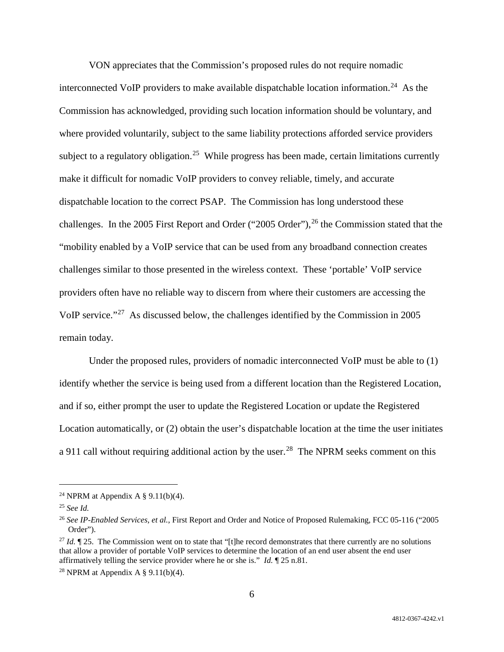VON appreciates that the Commission's proposed rules do not require nomadic interconnected VoIP providers to make available dispatchable location information.<sup>24</sup> As the Commission has acknowledged, providing such location information should be voluntary, and where provided voluntarily, subject to the same liability protections afforded service providers subject to a regulatory obligation.<sup>25</sup> While progress has been made, certain limitations currently make it difficult for nomadic VoIP providers to convey reliable, timely, and accurate dispatchable location to the correct PSAP. The Commission has long understood these challenges. In the 2005 First Report and Order ("2005 Order"), <sup>26</sup> the Commission stated that the "mobility enabled by a VoIP service that can be used from any broadband connection creates challenges similar to those presented in the wireless context. These 'portable' VoIP service providers often have no reliable way to discern from where their customers are accessing the VoIP service."27 As discussed below, the challenges identified by the Commission in 2005 remain today.

Under the proposed rules, providers of nomadic interconnected VoIP must be able to (1) identify whether the service is being used from a different location than the Registered Location, and if so, either prompt the user to update the Registered Location or update the Registered Location automatically, or (2) obtain the user's dispatchable location at the time the user initiates a 911 call without requiring additional action by the user.<sup>28</sup> The NPRM seeks comment on this

<sup>&</sup>lt;sup>24</sup> NPRM at Appendix A  $\S$  9.11(b)(4).

<sup>25</sup> *See Id.*

<sup>26</sup> *See IP-Enabled Services, et al.*, First Report and Order and Notice of Proposed Rulemaking, FCC 05-116 ("2005 Order").

<sup>&</sup>lt;sup>27</sup> *Id.* ¶ 25. The Commission went on to state that "[t]he record demonstrates that there currently are no solutions that allow a provider of portable VoIP services to determine the location of an end user absent the end user affirmatively telling the service provider where he or she is." *Id.* ¶ 25 n.81.

<sup>&</sup>lt;sup>28</sup> NPRM at Appendix A  $\S$  9.11(b)(4).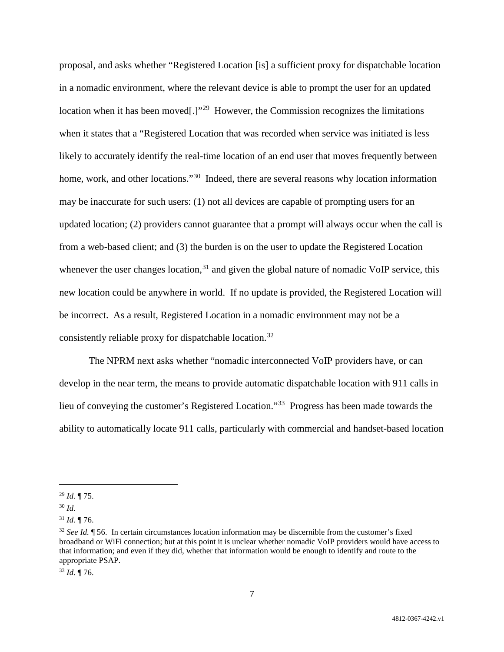proposal, and asks whether "Registered Location [is] a sufficient proxy for dispatchable location in a nomadic environment, where the relevant device is able to prompt the user for an updated location when it has been moved[.]"<sup>29</sup> However, the Commission recognizes the limitations when it states that a "Registered Location that was recorded when service was initiated is less likely to accurately identify the real-time location of an end user that moves frequently between home, work, and other locations."<sup>30</sup> Indeed, there are several reasons why location information may be inaccurate for such users: (1) not all devices are capable of prompting users for an updated location; (2) providers cannot guarantee that a prompt will always occur when the call is from a web-based client; and (3) the burden is on the user to update the Registered Location whenever the user changes location,<sup>31</sup> and given the global nature of nomadic VoIP service, this new location could be anywhere in world. If no update is provided, the Registered Location will be incorrect. As a result, Registered Location in a nomadic environment may not be a consistently reliable proxy for dispatchable location.<sup>32</sup>

The NPRM next asks whether "nomadic interconnected VoIP providers have, or can develop in the near term, the means to provide automatic dispatchable location with 911 calls in lieu of conveying the customer's Registered Location."33 Progress has been made towards the ability to automatically locate 911 calls, particularly with commercial and handset-based location

 <sup>29</sup> *Id.* ¶ 75.

<sup>30</sup> *Id*.

 $31$  *Id.* 176.

<sup>32</sup> *See Id.* ¶ 56. In certain circumstances location information may be discernible from the customer's fixed broadband or WiFi connection; but at this point it is unclear whether nomadic VoIP providers would have access to that information; and even if they did, whether that information would be enough to identify and route to the appropriate PSAP.

<sup>33</sup> *Id.* ¶ 76.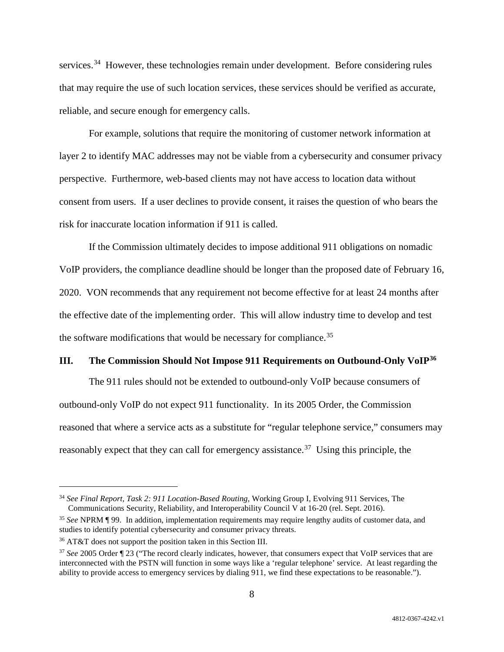services.<sup>34</sup> However, these technologies remain under development. Before considering rules that may require the use of such location services, these services should be verified as accurate, reliable, and secure enough for emergency calls.

For example, solutions that require the monitoring of customer network information at layer 2 to identify MAC addresses may not be viable from a cybersecurity and consumer privacy perspective. Furthermore, web-based clients may not have access to location data without consent from users. If a user declines to provide consent, it raises the question of who bears the risk for inaccurate location information if 911 is called.

If the Commission ultimately decides to impose additional 911 obligations on nomadic VoIP providers, the compliance deadline should be longer than the proposed date of February 16, 2020. VON recommends that any requirement not become effective for at least 24 months after the effective date of the implementing order. This will allow industry time to develop and test the software modifications that would be necessary for compliance.<sup>35</sup>

### **III. The Commission Should Not Impose 911 Requirements on Outbound-Only VoIP36**

The 911 rules should not be extended to outbound-only VoIP because consumers of outbound-only VoIP do not expect 911 functionality. In its 2005 Order, the Commission reasoned that where a service acts as a substitute for "regular telephone service," consumers may reasonably expect that they can call for emergency assistance.<sup>37</sup> Using this principle, the

 <sup>34</sup> *See Final Report, Task 2: 911 Location-Based Routing*, Working Group I, Evolving 911 Services, The Communications Security, Reliability, and Interoperability Council V at 16-20 (rel. Sept. 2016).

<sup>35</sup> *See* NPRM ¶ 99. In addition, implementation requirements may require lengthy audits of customer data, and studies to identify potential cybersecurity and consumer privacy threats.

<sup>36</sup> AT&T does not support the position taken in this Section III.

<sup>37</sup> *See* 2005 Order ¶ 23 ("The record clearly indicates, however, that consumers expect that VoIP services that are interconnected with the PSTN will function in some ways like a 'regular telephone' service. At least regarding the ability to provide access to emergency services by dialing 911, we find these expectations to be reasonable.").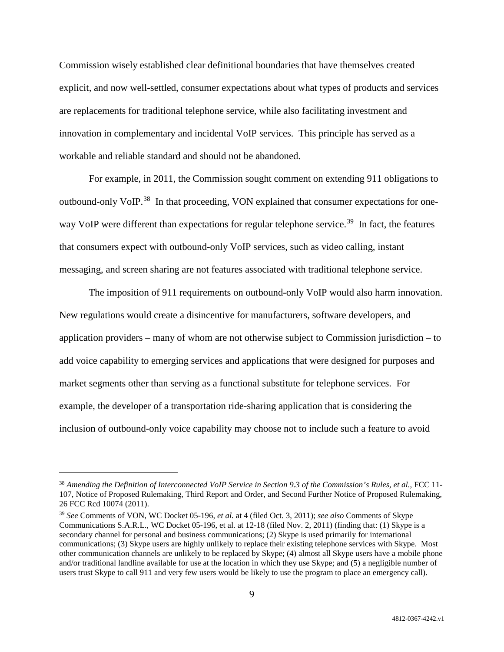Commission wisely established clear definitional boundaries that have themselves created explicit, and now well-settled, consumer expectations about what types of products and services are replacements for traditional telephone service, while also facilitating investment and innovation in complementary and incidental VoIP services. This principle has served as a workable and reliable standard and should not be abandoned.

For example, in 2011, the Commission sought comment on extending 911 obligations to outbound-only VoIP.<sup>38</sup> In that proceeding, VON explained that consumer expectations for oneway VoIP were different than expectations for regular telephone service.<sup>39</sup> In fact, the features that consumers expect with outbound-only VoIP services, such as video calling, instant messaging, and screen sharing are not features associated with traditional telephone service.

The imposition of 911 requirements on outbound-only VoIP would also harm innovation. New regulations would create a disincentive for manufacturers, software developers, and application providers – many of whom are not otherwise subject to Commission jurisdiction – to add voice capability to emerging services and applications that were designed for purposes and market segments other than serving as a functional substitute for telephone services. For example, the developer of a transportation ride-sharing application that is considering the inclusion of outbound-only voice capability may choose not to include such a feature to avoid

 <sup>38</sup> *Amending the Definition of Interconnected VoIP Service in Section 9.3 of the Commission's Rules, et al.*, FCC 11- 107, Notice of Proposed Rulemaking, Third Report and Order, and Second Further Notice of Proposed Rulemaking, 26 FCC Rcd 10074 (2011).

<sup>39</sup> *See* Comments of VON, WC Docket 05-196, *et al.* at 4 (filed Oct. 3, 2011); *see also* Comments of Skype Communications S.A.R.L., WC Docket 05-196, et al. at 12-18 (filed Nov. 2, 2011) (finding that: (1) Skype is a secondary channel for personal and business communications; (2) Skype is used primarily for international communications; (3) Skype users are highly unlikely to replace their existing telephone services with Skype. Most other communication channels are unlikely to be replaced by Skype; (4) almost all Skype users have a mobile phone and/or traditional landline available for use at the location in which they use Skype; and (5) a negligible number of users trust Skype to call 911 and very few users would be likely to use the program to place an emergency call).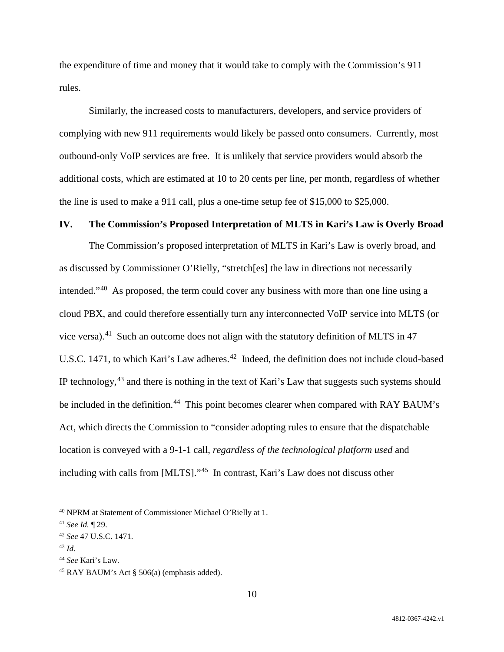the expenditure of time and money that it would take to comply with the Commission's 911 rules.

Similarly, the increased costs to manufacturers, developers, and service providers of complying with new 911 requirements would likely be passed onto consumers. Currently, most outbound-only VoIP services are free. It is unlikely that service providers would absorb the additional costs, which are estimated at 10 to 20 cents per line, per month, regardless of whether the line is used to make a 911 call, plus a one-time setup fee of \$15,000 to \$25,000.

### **IV. The Commission's Proposed Interpretation of MLTS in Kari's Law is Overly Broad**

The Commission's proposed interpretation of MLTS in Kari's Law is overly broad, and as discussed by Commissioner O'Rielly, "stretch[es] the law in directions not necessarily intended."40 As proposed, the term could cover any business with more than one line using a cloud PBX, and could therefore essentially turn any interconnected VoIP service into MLTS (or vice versa).<sup>41</sup> Such an outcome does not align with the statutory definition of MLTS in 47 U.S.C. 1471, to which Kari's Law adheres.<sup>42</sup> Indeed, the definition does not include cloud-based IP technology,<sup>43</sup> and there is nothing in the text of Kari's Law that suggests such systems should be included in the definition.<sup>44</sup> This point becomes clearer when compared with RAY BAUM's Act, which directs the Commission to "consider adopting rules to ensure that the dispatchable location is conveyed with a 9-1-1 call, *regardless of the technological platform used* and including with calls from [MLTS]."45 In contrast, Kari's Law does not discuss other

 <sup>40</sup> NPRM at Statement of Commissioner Michael O'Rielly at 1.

<sup>41</sup> *See Id.* ¶ 29.

<sup>42</sup> *See* 47 U.S.C. 1471.

<sup>43</sup> *Id.*

<sup>44</sup> *See* Kari's Law.

<sup>45</sup> RAY BAUM's Act § 506(a) (emphasis added).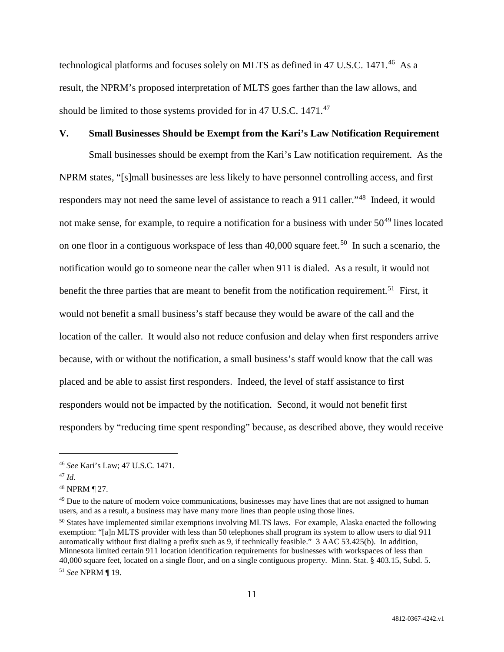technological platforms and focuses solely on MLTS as defined in 47 U.S.C. 1471. 46 As a result, the NPRM's proposed interpretation of MLTS goes farther than the law allows, and should be limited to those systems provided for in 47 U.S.C. 1471.<sup>47</sup>

#### **V. Small Businesses Should be Exempt from the Kari's Law Notification Requirement**

Small businesses should be exempt from the Kari's Law notification requirement. As the NPRM states, "[s]mall businesses are less likely to have personnel controlling access, and first responders may not need the same level of assistance to reach a 911 caller."48 Indeed, it would not make sense, for example, to require a notification for a business with under  $50^{49}$  lines located on one floor in a contiguous workspace of less than  $40,000$  square feet.<sup>50</sup> In such a scenario, the notification would go to someone near the caller when 911 is dialed. As a result, it would not benefit the three parties that are meant to benefit from the notification requirement.<sup>51</sup> First, it would not benefit a small business's staff because they would be aware of the call and the location of the caller. It would also not reduce confusion and delay when first responders arrive because, with or without the notification, a small business's staff would know that the call was placed and be able to assist first responders. Indeed, the level of staff assistance to first responders would not be impacted by the notification. Second, it would not benefit first responders by "reducing time spent responding" because, as described above, they would receive

 <sup>46</sup> *See* Kari's Law; 47 U.S.C. 1471.

<sup>47</sup> *Id.*

<sup>48</sup> NPRM ¶ 27.

<sup>&</sup>lt;sup>49</sup> Due to the nature of modern voice communications, businesses may have lines that are not assigned to human users, and as a result, a business may have many more lines than people using those lines.

<sup>&</sup>lt;sup>50</sup> States have implemented similar exemptions involving MLTS laws. For example, Alaska enacted the following exemption: "[a]n MLTS provider with less than 50 telephones shall program its system to allow users to dial 911 automatically without first dialing a prefix such as 9, if technically feasible." 3 AAC 53.425(b). In addition, Minnesota limited certain 911 location identification requirements for businesses with workspaces of less than 40,000 square feet, located on a single floor, and on a single contiguous property. Minn. Stat. § 403.15, Subd. 5. <sup>51</sup> *See* NPRM ¶ 19.